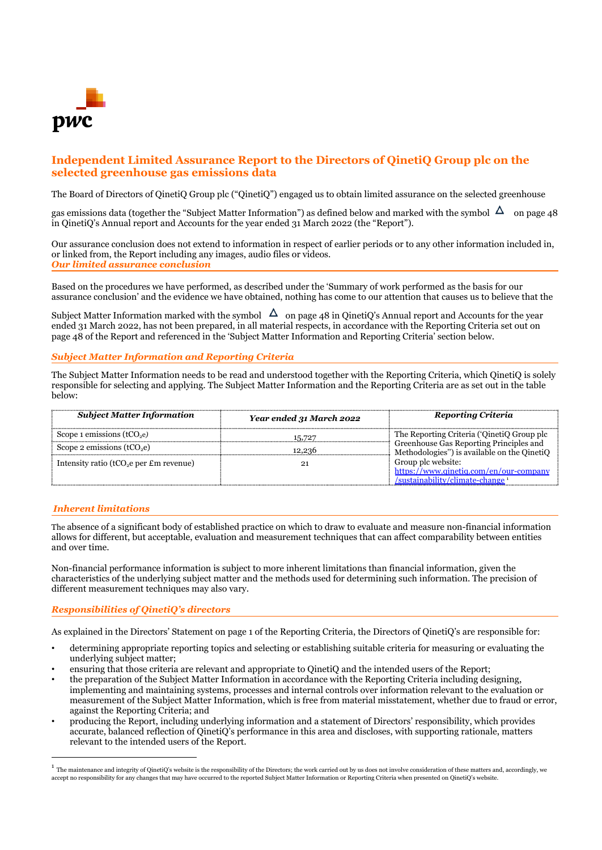

# **Independent Limited Assurance Report to the Directors of QinetiQ Group plc on the selected greenhouse gas emissions data**

The Board of Directors of QinetiQ Group plc ("QinetiQ") engaged us to obtain limited assurance on the selected greenhouse

gas emissions data (together the "Subject Matter Information") as defined below and marked with the symbol  $\Delta$  on page 48 in QinetiQ's Annual report and Accounts for the year ended 31 March 2022 (the "Report").

Our assurance conclusion does not extend to information in respect of earlier periods or to any other information included in, or linked from, the Report including any images, audio files or videos. *Our limited assurance conclusion*

Based on the procedures we have performed, as described under the 'Summary of work performed as the basis for our assurance conclusion' and the evidence we have obtained, nothing has come to our attention that causes us to believe that the

Subject Matter Information marked with the symbol  $\Delta$  on page 48 in OinetiO's Annual report and Accounts for the year ended 31 March 2022, has not been prepared, in all material respects, in accordance with the Reporting Criteria set out on page 48 of the Report and referenced in the 'Subject Matter Information and Reporting Criteria' section below.

### *Subject Matter Information and Reporting Criteria*

The Subject Matter Information needs to be read and understood together with the Reporting Criteria, which QinetiQ is solely responsible for selecting and applying. The Subject Matter Information and the Reporting Criteria are as set out in the table below:

| <b>Subject Matter Information</b>                  | Year ended 31 March 2022 | <b>Reporting Criteria</b>                                                              |
|----------------------------------------------------|--------------------------|----------------------------------------------------------------------------------------|
| Scope 1 emissions $(tCO2e)$                        | 15.727                   | The Reporting Criteria ('QinetiQ Group plc                                             |
| Scope 2 emissions $(tCO,e)$                        | 12.236                   | Greenhouse Gas Reporting Principles and<br>Methodologies") is available on the QinetiQ |
| Intensity ratio ( $tCO2e$ per $\pounds$ m revenue) |                          | Group plc website:                                                                     |
|                                                    |                          | https://www.ginetig.com/en/our-company<br>/sustainability/climate-change               |

## *Inherent limitations*

The absence of a significant body of established practice on which to draw to evaluate and measure non-financial information allows for different, but acceptable, evaluation and measurement techniques that can affect comparability between entities and over time.

Non-financial performance information is subject to more inherent limitations than financial information, given the characteristics of the underlying subject matter and the methods used for determining such information. The precision of different measurement techniques may also vary.

#### *Responsibilities of QinetiQ's directors*

As explained in the Directors' Statement on page 1 of the Reporting Criteria, the Directors of QinetiQ's are responsible for:

- determining appropriate reporting topics and selecting or establishing suitable criteria for measuring or evaluating the underlying subject matter;
- ensuring that those criteria are relevant and appropriate to QinetiQ and the intended users of the Report;
- the preparation of the Subject Matter Information in accordance with the Reporting Criteria including designing, implementing and maintaining systems, processes and internal controls over information relevant to the evaluation or measurement of the Subject Matter Information, which is free from material misstatement, whether due to fraud or error, against the Reporting Criteria; and
- producing the Report, including underlying information and a statement of Directors' responsibility, which provides accurate, balanced reflection of QinetiQ's performance in this area and discloses, with supporting rationale, matters relevant to the intended users of the Report.

 $^1$  The maintenance and integrity of QinetiQ's website is the responsibility of the Directors; the work carried out by us does not involve consideration of these matters and, accordingly, we accept no responsibility for any changes that may have occurred to the reported Subject Matter Information or Reporting Criteria when presented on QinetiQ's website.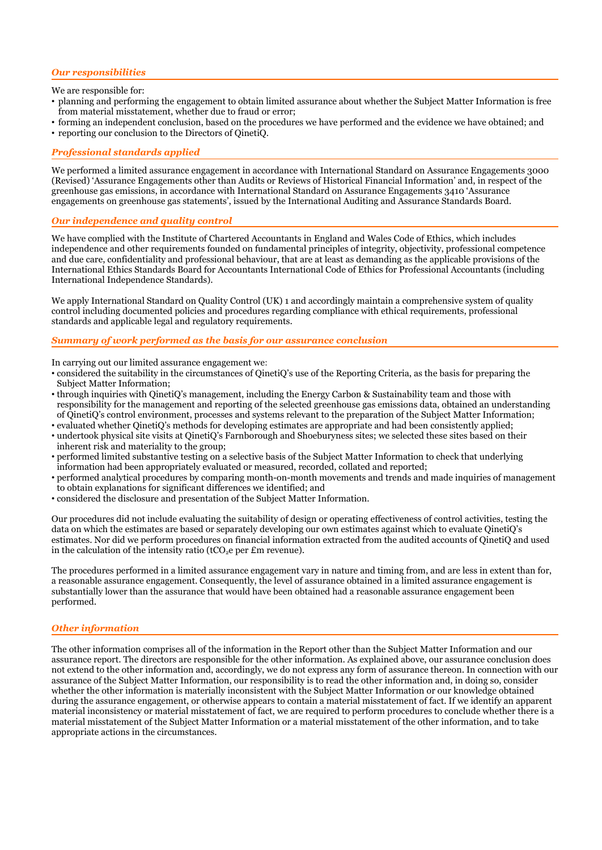#### *Our responsibilities*

We are responsible for:

- planning and performing the engagement to obtain limited assurance about whether the Subject Matter Information is free from material misstatement, whether due to fraud or error;
- forming an independent conclusion, based on the procedures we have performed and the evidence we have obtained; and
- reporting our conclusion to the Directors of QinetiQ.

#### *Professional standards applied*

We performed a limited assurance engagement in accordance with International Standard on Assurance Engagements 3000 (Revised) 'Assurance Engagements other than Audits or Reviews of Historical Financial Information' and, in respect of the greenhouse gas emissions, in accordance with International Standard on Assurance Engagements 3410 'Assurance engagements on greenhouse gas statements', issued by the International Auditing and Assurance Standards Board.

#### *Our independence and quality control*

We have complied with the Institute of Chartered Accountants in England and Wales Code of Ethics, which includes independence and other requirements founded on fundamental principles of integrity, objectivity, professional competence and due care, confidentiality and professional behaviour, that are at least as demanding as the applicable provisions of the International Ethics Standards Board for Accountants International Code of Ethics for Professional Accountants (including International Independence Standards).

We apply International Standard on Quality Control (UK) 1 and accordingly maintain a comprehensive system of quality control including documented policies and procedures regarding compliance with ethical requirements, professional standards and applicable legal and regulatory requirements.

#### *Summary of work performed as the basis for our assurance conclusion*

In carrying out our limited assurance engagement we:

- considered the suitability in the circumstances of QinetiQ's use of the Reporting Criteria, as the basis for preparing the Subject Matter Information;
- through inquiries with QinetiQ's management, including the Energy Carbon & Sustainability team and those with responsibility for the management and reporting of the selected greenhouse gas emissions data, obtained an understanding of QinetiQ's control environment, processes and systems relevant to the preparation of the Subject Matter Information;
- evaluated whether QinetiQ's methods for developing estimates are appropriate and had been consistently applied;
- undertook physical site visits at QinetiQ's Farnborough and Shoeburyness sites; we selected these sites based on their inherent risk and materiality to the group;
- performed limited substantive testing on a selective basis of the Subject Matter Information to check that underlying information had been appropriately evaluated or measured, recorded, collated and reported;
- performed analytical procedures by comparing month-on-month movements and trends and made inquiries of management to obtain explanations for significant differences we identified; and
- considered the disclosure and presentation of the Subject Matter Information.

Our procedures did not include evaluating the suitability of design or operating effectiveness of control activities, testing the data on which the estimates are based or separately developing our own estimates against which to evaluate QinetiQ's estimates. Nor did we perform procedures on financial information extracted from the audited accounts of QinetiQ and used in the calculation of the intensity ratio (tCO<sub>2</sub>e per  $\pounds$ m revenue).

The procedures performed in a limited assurance engagement vary in nature and timing from, and are less in extent than for, a reasonable assurance engagement. Consequently, the level of assurance obtained in a limited assurance engagement is substantially lower than the assurance that would have been obtained had a reasonable assurance engagement been performed.

#### *Other information*

The other information comprises all of the information in the Report other than the Subject Matter Information and our assurance report. The directors are responsible for the other information. As explained above, our assurance conclusion does not extend to the other information and, accordingly, we do not express any form of assurance thereon. In connection with our assurance of the Subject Matter Information, our responsibility is to read the other information and, in doing so, consider whether the other information is materially inconsistent with the Subject Matter Information or our knowledge obtained during the assurance engagement, or otherwise appears to contain a material misstatement of fact. If we identify an apparent material inconsistency or material misstatement of fact, we are required to perform procedures to conclude whether there is a material misstatement of the Subject Matter Information or a material misstatement of the other information, and to take appropriate actions in the circumstances.